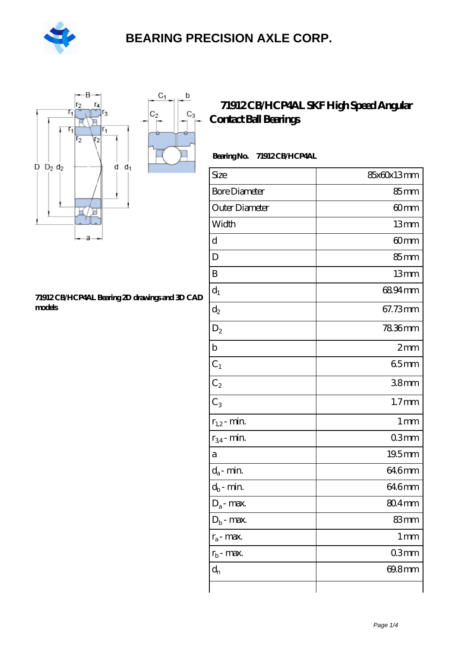

 $\sf b$ 

ó

 $C_3$ 



#### **[71912 CB/HCP4AL Bearing 2D drawings and 3D CAD](https://m.hilalanaokulu.com/pic-660803.html) [models](https://m.hilalanaokulu.com/pic-660803.html)**

### **[71912 CB/HCP4AL SKF High Speed Angular](https://m.hilalanaokulu.com/skf-bearings/71912-cb-hcp4al.html) [Contact Ball Bearings](https://m.hilalanaokulu.com/skf-bearings/71912-cb-hcp4al.html)**

### **Bearing No. 71912 CB/HCP4AL**

| Size                       | 85x60x13mm         |
|----------------------------|--------------------|
| <b>Bore Diameter</b>       | 85 <sub>mm</sub>   |
| Outer Diameter             | 60mm               |
| Width                      | 13mm               |
| d                          | 60 <sub>mm</sub>   |
| D                          | 85mm               |
| B                          | 13mm               |
| $d_1$                      | 6894mm             |
| $d_2$                      | 67.73mm            |
| $\mathrm{D}_2$             | 7836mm             |
| $\mathbf b$                | 2mm                |
| $C_1$                      | 65mm               |
| $C_2$                      | 38mm               |
| $C_3$                      | 1.7 <sub>mm</sub>  |
| $r_{1,2}$ - min.           | 1 <sub>mm</sub>    |
| $r_{34}$ - min.            | 03mm               |
| а                          | 19.5mm             |
| $d_a$ - min.               | 646mm              |
| $d_b\operatorname{-} \min$ | 646mm              |
| $D_a$ - max.               | $804$ mm           |
| $D_b$ - max.               | 83mm               |
| $r_a$ - max.               | $1 \, \mathrm{mm}$ |
| $r_{b}$ - max.             | 03mm               |
| $d_n$                      | 69.8mm             |
|                            |                    |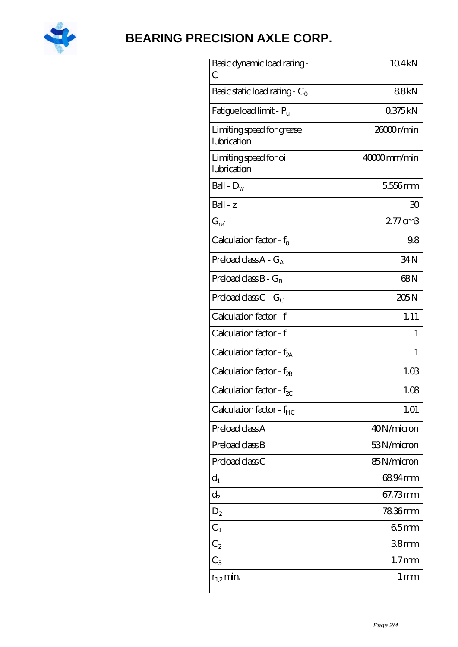

| Basic dynamic load rating-<br>С          | 104 <sub>kN</sub> |
|------------------------------------------|-------------------|
| Basic static load rating - $C_0$         | 88kN              |
| Fatigue load limit - P <sub>u</sub>      | 0375kN            |
| Limiting speed for grease<br>lubrication | 26000r/min        |
| Limiting speed for oil<br>lubrication    | 40000mm/min       |
| Ball - $D_w$                             | 5556mm            |
| $Ball - z$                               | 30                |
| $G_{ref}$                                | 277cm3            |
| Calculation factor - $f_0$               | 98                |
| Preload class $A - G_A$                  | 34N               |
| Preload class $B - G_B$                  | 68N               |
| Preload class C - $G_C$                  | 205N              |
| Calculation factor - f                   | 1.11              |
| Calculation factor - f                   | 1                 |
| Calculation factor - f <sub>2A</sub>     | 1                 |
| Calculation factor - f <sub>2B</sub>     | 1.03              |
| Calculation factor - $f_{\chi}$          | 1.08              |
| Calculation factor - $f_{HC}$            | 1.01              |
| Preload class A                          | 40N/micron        |
| Preload class B                          | 53N/micron        |
| Preload class C                          | 85N/micron        |
| $d_1$                                    | 6894mm            |
| $d_2$                                    | 67.73mm           |
| $D_2$                                    | 78.36mm           |
| $C_1$                                    | 65mm              |
| $C_2$                                    | 38 <sub>mm</sub>  |
| $C_3$                                    | $1.7$ mm          |
| $r_{1,2}$ min.                           | 1 <sub>mm</sub>   |
|                                          |                   |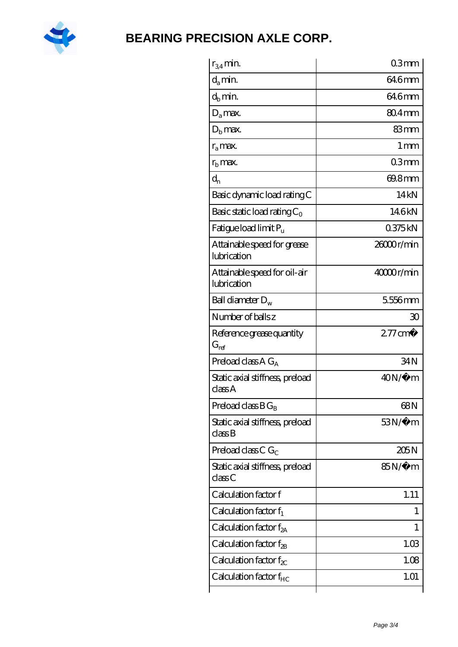

| $r_{34}$ min.                               | 03mm               |
|---------------------------------------------|--------------------|
| $d_{a}$ min.                                | 646mm              |
| $d_h$ min.                                  | 646mm              |
| $D_a$ max.                                  | $804 \text{mm}$    |
| $Db$ max.                                   | 83mm               |
| $r_a$ max.                                  | $1 \,\mathrm{mm}$  |
| $rb$ max.                                   | 03mm               |
| $d_{n}$                                     | 69.8mm             |
| Basic dynamic load rating C                 | 14kN               |
| Basic static load rating $C_0$              | 146kN              |
| Fatigue load limit $P_u$                    | 0375kN             |
| Attainable speed for grease<br>lubrication  | 26000r/min         |
| Attainable speed for oil-air<br>lubrication | 40000r/min         |
| Ball diameter $D_w$                         | 5556mm             |
| Number of balls z                           | 30                 |
| Reference grease quantity<br>$G_{\rm ref}$  | $277 \text{ cm}^3$ |
| Preload class A $G_A$                       | 34N                |
| Static axial stiffness, preload<br>classA   | $40N/\mu$ m        |
| Preload class $B G_B$                       | 68N                |
| Static axial stiffness, preload<br>classB   | $53N/\mu$ m        |
| Preload class C $G_C$                       | 205N               |
| Static axial stiffness, preload<br>classC   | 85N/μ m            |
| Calculation factor f                        | 1.11               |
| Calculation factor $f_1$                    | $\mathbf{I}$       |
| Calculation factor $f_{2A}$                 | 1                  |
| Calculation factor $f_{2B}$                 | 1.03               |
| Calculation factor $f_{\chi}$               | 1.08               |
| Calculation factor $f_{HC}$                 | 1.01               |
|                                             |                    |